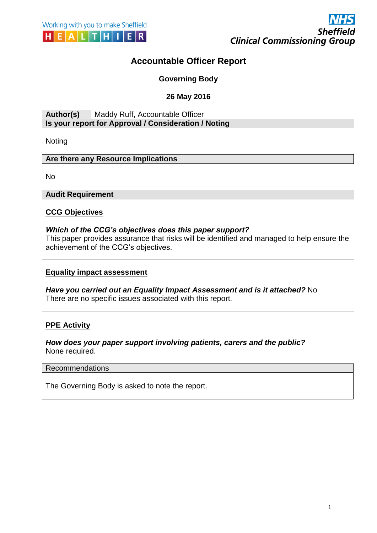# **Accountable Officer Report**

**Governing Body**

**26 May 2016**

Author(s) | Maddy Ruff, Accountable Officer

**Is your report for Approval / Consideration / Noting**

Noting

# **Are there any Resource Implications**

No

**Audit Requirement**

**CCG Objectives**

### *Which of the CCG's objectives does this paper support?*

This paper provides assurance that risks will be identified and managed to help ensure the achievement of the CCG's objectives.

### **Equality impact assessment**

*Have you carried out an Equality Impact Assessment and is it attached?* No There are no specific issues associated with this report.

# **PPE Activity**

*How does your paper support involving patients, carers and the public?*  None required.

#### Recommendations

The Governing Body is asked to note the report.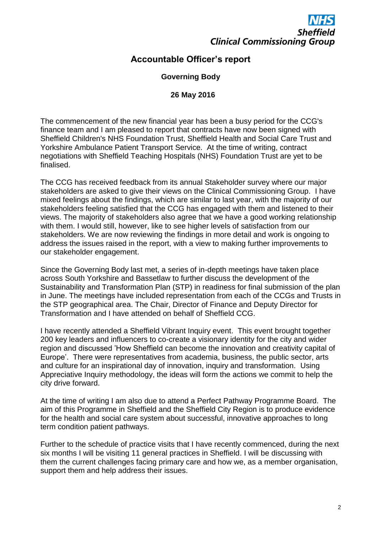

# **Accountable Officer's report**

## **Governing Body**

### **26 May 2016**

The commencement of the new financial year has been a busy period for the CCG's finance team and I am pleased to report that contracts have now been signed with Sheffield Children's NHS Foundation Trust, Sheffield Health and Social Care Trust and Yorkshire Ambulance Patient Transport Service. At the time of writing, contract negotiations with Sheffield Teaching Hospitals (NHS) Foundation Trust are yet to be finalised.

The CCG has received feedback from its annual Stakeholder survey where our major stakeholders are asked to give their views on the Clinical Commissioning Group. I have mixed feelings about the findings, which are similar to last year, with the majority of our stakeholders feeling satisfied that the CCG has engaged with them and listened to their views. The majority of stakeholders also agree that we have a good working relationship with them. I would still, however, like to see higher levels of satisfaction from our stakeholders. We are now reviewing the findings in more detail and work is ongoing to address the issues raised in the report, with a view to making further improvements to our stakeholder engagement.

Since the Governing Body last met, a series of in-depth meetings have taken place across South Yorkshire and Bassetlaw to further discuss the development of the Sustainability and Transformation Plan (STP) in readiness for final submission of the plan in June. The meetings have included representation from each of the CCGs and Trusts in the STP geographical area. The Chair, Director of Finance and Deputy Director for Transformation and I have attended on behalf of Sheffield CCG.

I have recently attended a Sheffield Vibrant Inquiry event. This event brought together 200 key leaders and influencers to co-create a visionary identity for the city and wider region and discussed 'How Sheffield can become the innovation and creativity capital of Europe'. There were representatives from academia, business, the public sector, arts and culture for an inspirational day of innovation, inquiry and transformation. Using Appreciative Inquiry methodology, the ideas will form the actions we commit to help the city drive forward.

At the time of writing I am also due to attend a Perfect Pathway Programme Board. The aim of this Programme in Sheffield and the Sheffield City Region is to produce evidence for the health and social care system about successful, innovative approaches to long term condition patient pathways.

Further to the schedule of practice visits that I have recently commenced, during the next six months I will be visiting 11 general practices in Sheffield. I will be discussing with them the current challenges facing primary care and how we, as a member organisation, support them and help address their issues.